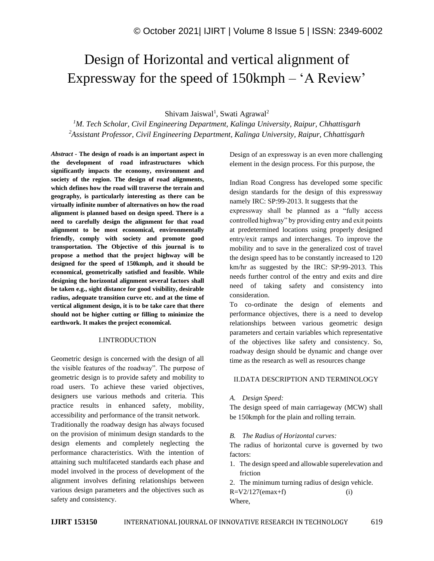# Design of Horizontal and vertical alignment of Expressway for the speed of 150kmph – 'A Review'

Shivam Jaiswal<sup>1</sup>, Swati Agrawal<sup>2</sup>

*<sup>1</sup>M. Tech Scholar, Civil Engineering Department, Kalinga University, Raipur, Chhattisgarh <sup>2</sup>Assistant Professor, Civil Engineering Department, Kalinga University, Raipur, Chhattisgarh*

*Abstract -* **The design of roads is an important aspect in the development of road infrastructures which significantly impacts the economy, environment and society of the region. The design of road alignments, which defines how the road will traverse the terrain and geography, is particularly interesting as there can be virtually infinite number of alternatives on how the road alignment is planned based on design speed. There is a need to carefully design the alignment for that road alignment to be most economical, environmentally friendly, comply with society and promote good transportation. The Objective of this journal is to propose a method that the project highway will be designed for the speed of 150kmph, and it should be economical, geometrically satisfied and feasible. While designing the horizontal alignment several factors shall be taken e.g., sight distance for good visibility, desirable radius, adequate transition curve etc. and at the time of vertical alignment design, it is to be take care that there should not be higher cutting or filling to minimize the earthwork. It makes the project economical.**

#### I.INTRODUCTION

Geometric design is concerned with the design of all the visible features of the roadway". The purpose of geometric design is to provide safety and mobility to road users. To achieve these varied objectives, designers use various methods and criteria. This practice results in enhanced safety, mobility, accessibility and performance of the transit network. Traditionally the roadway design has always focused on the provision of minimum design standards to the design elements and completely neglecting the performance characteristics. With the intention of attaining such multifaceted standards each phase and model involved in the process of development of the alignment involves defining relationships between various design parameters and the objectives such as safety and consistency.

Design of an expressway is an even more challenging element in the design process. For this purpose, the

Indian Road Congress has developed some specific design standards for the design of this expressway namely IRC: SP:99-2013. It suggests that the expressway shall be planned as a "fully access controlled highway" by providing entry and exit points at predetermined locations using properly designed entry/exit ramps and interchanges. To improve the mobility and to save in the generalized cost of travel the design speed has to be constantly increased to 120 km/hr as suggested by the IRC: SP:99-2013. This needs further control of the entry and exits and dire need of taking safety and consistency into consideration.

To co-ordinate the design of elements and performance objectives, there is a need to develop relationships between various geometric design parameters and certain variables which representative of the objectives like safety and consistency. So, roadway design should be dynamic and change over time as the research as well as resources change

#### II.DATA DESCRIPTION AND TERMINOLOGY

#### *A. Design Speed:*

The design speed of main carriageway (MCW) shall be 150kmph for the plain and rolling terrain.

#### *B. The Radius of Horizontal curves:*

The radius of horizontal curve is governed by two factors:

- 1. The design speed and allowable superelevation and friction
- 2. The minimum turning radius of design vehicle.  $R=V2/127$ (emax+f) (i) Where,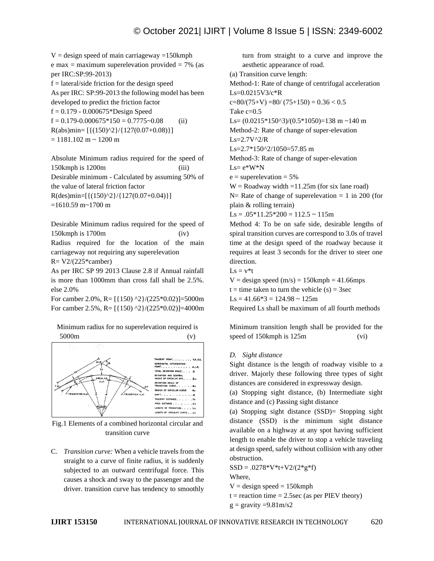$V =$  design speed of main carriageway =150kmph e max = maximum superelevation provided =  $7\%$  (as per IRC:SP:99-2013)  $f =$  lateral/side friction for the design speed As per IRC: SP:99-2013 the following model has been developed to predict the friction factor  $f = 0.179 - 0.000675*$ Design Speed  $f = 0.179 - 0.000675 \times 150 = 0.7775 \times 0.08$  (ii)  $R(abs)min = [{(150)^2 \cdot 2} / {127(0.07+0.08)}]$  $= 1181.102$  m ~ 1200 m

Absolute Minimum radius required for the speed of 150kmph is 1200m (iii) Desirable minimum - Calculated by assuming 50% of the value of lateral friction factor  $R(ds)min=[{(150)^22}/{127(0.07+0.04)}]$  $=1610.59$  m $\sim$ 1700 m

Desirable Minimum radius required for the speed of 150kmph is 1700m (iv) Radius required for the location of the main carriageway not requiring any superelevation  $R = V2/(225* \text{camber})$ 

As per IRC SP 99 2013 Clause 2.8 if Annual rainfall is more than 1000mm than cross fall shall be 2.5%. else 2.0%

For camber 2.0%, R=  $[{150} \text{ }^{\text{92}}/(225*0.02)]=5000$ m For camber 2.5%, R=  $[{150} \text{ }^{\circ}2\} / (225*0.02)$ ]=4000m

Minimum radius for no superelevation required is 5000m (v)



Fig.1 Elements of a combined horizontal circular and transition curve

C. *Transition curve:* When a vehicle travels from the straight to a curve of finite radius, it is suddenly subjected to an outward centrifugal force. This causes a shock and sway to the passenger and the driver. transition curve has tendency to smoothly

turn from straight to a curve and improve the aesthetic appearance of road. (a) Transition curve length: Method-1: Rate of change of centrifugal acceleration Ls=0.0215V3/c\*R  $c=80/(75+V) = 80/(75+150) = 0.36 < 0.5$ Take c=0.5 Ls=  $(0.0215*150^3)/(0.5*1050)$ =138 m ~140 m Method-2: Rate of change of super-elevation  $Ls=2.7V^2/R$ Ls=2.7\*150^2/1050=57.85 m Method-3: Rate of change of super-elevation  $Ls = e^*W^*N$  $e = superelevation = 5%$  $W =$ Roadway width =11.25m (for six lane road)  $N=$  Rate of change of superelevation  $= 1$  in 200 (for plain & rolling terrain)  $\text{Ls} = .05*11.25*200 = 112.5 \sim 115 \text{m}$ 

Method 4: To be on safe side, desirable lengths of spiral transition curves are correspond to 3.0s of travel time at the design speed of the roadway because it requires at least 3 seconds for the driver to steer one direction.

 $Ls = v*t$ 

 $V =$  design speed (m/s) = 150kmph = 41.66mps

 $t =$  time taken to turn the vehicle (s) = 3sec

 $\text{Ls} = 41.66*3 = 124.98 \approx 125 \text{m}$ 

Required Ls shall be maximum of all fourth methods

Minimum transition length shall be provided for the speed of 150kmph is 125m (vi)

# *D. Sight distance*

Sight distance is the length of roadway visible to a driver. Majorly these following three types of sight distances are considered in expressway design.

(a) Stopping sight distance, (b) Intermediate sight distance and (c) Passing sight distance

(a) Stopping sight distance (SSD)= Stopping sight distance (SSD) is the minimum sight distance available on a highway at any spot having sufficient length to enable the driver to stop a vehicle traveling at design speed, safely without collision with any other obstruction.

 $SSD = .0278*V*t+V2/(2*g*f)$ 

Where,

 $V =$  design speed = 150 kmph

 $t =$  reaction time = 2.5sec (as per PIEV theory)

 $g =$  gravity =9.81m/s2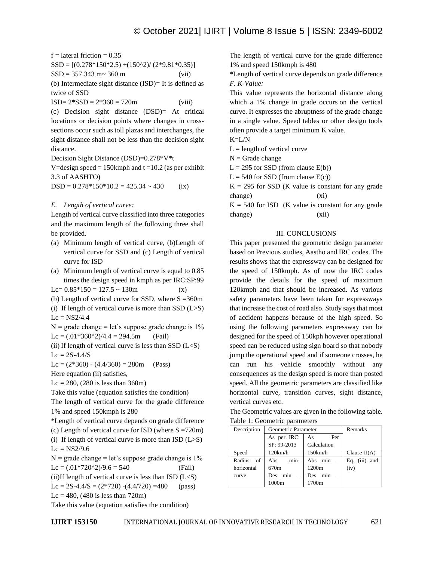$f =$  lateral friction = 0.35  $SSD = [(0.278*150*2.5) + (150*2)/ (2*9.81*0.35)]$  $SSD = 357.343 \text{ m} \sim 360 \text{ m}$  (vii) (b) Intermediate sight distance (ISD)= It is defined as twice of SSD  $ISD = 2*SSD = 2*360 = 720m$  (viii)

(c) Decision sight distance (DSD)= At critical locations or decision points where changes in crosssections occur such as toll plazas and interchanges, the sight distance shall not be less than the decision sight distance.

Decision Sight Distance (DSD)=0.278\*V\*t

V=design speed =  $150$ kmph and t =  $10.2$  (as per exhibit 3.3 of AASHTO)  $DSD = 0.278*150*10.2 = 425.34 \approx 430$  (ix)

*E. Length of vertical curve:*

Length of vertical curve classified into three categories and the maximum length of the following three shall be provided.

- (a) Minimum length of vertical curve, (b)Length of vertical curve for SSD and (c) Length of vertical curve for ISD
- (a) Minimum length of vertical curve is equal to 0.85 times the design speed in kmph as per IRC:SP:99

Lc=  $0.85*150 = 127.5 \sim 130$ m (x)

(b) Length of vertical curve for SSD, where  $S = 360$ m

(i) If length of vertical curve is more than SSD  $(L>S)$  $Lc = NS2/4.4$ 

 $N =$  grade change = let's suppose grade change is 1%  $Lc = (0.01*360^2)/4.4 = 294.5m$  (Fail)

(ii) If length of vertical curve is less than SSD  $(L\le S)$  $Lc = 2S - 4.4/S$ 

 $Lc = (2*360) - (4.4/360) = 280m$  (Pass)

Here equation (ii) satisfies,

 $Lc = 280$ , (280 is less than 360m)

Take this value (equation satisfies the condition)

The length of vertical curve for the grade difference 1% and speed 150kmph is 280

\*Length of vertical curve depends on grade difference (c) Length of vertical curve for ISD (where  $S = 720$ m)

(i) If length of vertical curve is more than  $\text{ISD}$  (L>S)  $Lc = NS2/9.6$ 

 $N =$  grade change = let's suppose grade change is 1% Lc =  $(.01*720^2)/9.6 = 540$  (Fail)

(ii)If length of vertical curve is less than ISD  $(L < S)$ Lc = 2S-4.4/S =  $(2*720)$  - $(4.4/720)$  =480 (pass)

 $Lc = 480$ , (480 is less than 720m)

Take this value (equation satisfies the condition)

The length of vertical curve for the grade difference 1% and speed 150kmph is 480

\*Length of vertical curve depends on grade difference *F. K-Value:*

This value represents the horizontal distance along which a 1% change in grade occurs on the vertical curve. It expresses the abruptness of the grade change in a single value. Speed tables or other design tools often provide a target minimum K value.

K=L/N

 $L =$  length of vertical curve

 $N =$ Grade change

 $L = 295$  for SSD (from clause E(b))

 $L = 540$  for SSD (from clause E(c))

 $K = 295$  for SSD (K value is constant for any grade change) (xi)

 $K = 540$  for ISD (K value is constant for any grade change) (xii)

## III. CONCLUSIONS

This paper presented the geometric design parameter based on Previous studies, Aastho and IRC codes. The results shows that the expressway can be designed for the speed of 150kmph. As of now the IRC codes provide the details for the speed of maximum 120kmph and that should be increased. As various safety parameters have been taken for expressways that increase the cost of road also. Study says that most of accident happens because of the high speed. So using the following parameters expressway can be designed for the speed of 150kph however operational speed can be reduced using sign board so that nobody jump the operational speed and if someone crosses, he can run his vehicle smoothly without any consequences as the design speed is more than posted speed. All the geometric parameters are classified like horizontal curve, transition curves, sight distance, vertical curves etc.

The Geometric values are given in the following table. Table 1: Geometric parameters

| Description  | Geometric Parameter |                                        | Remarks             |
|--------------|---------------------|----------------------------------------|---------------------|
|              | As per IRC:         | Per<br>As                              |                     |
|              | SP: 99-2013         | Calculation                            |                     |
| Speed        | 120km/h             | $150$ km/h                             | $Clause-II(A)$      |
| of<br>Radius | min-<br>Abs         | Abs<br>min<br>$\overline{\phantom{m}}$ | (iii)<br>Eq.<br>and |
| horizontal   | 670m                | 1200m                                  | (iv)                |
| curve        | min<br>Des          | min<br>Des                             |                     |
|              | 1000m               | 1700m                                  |                     |